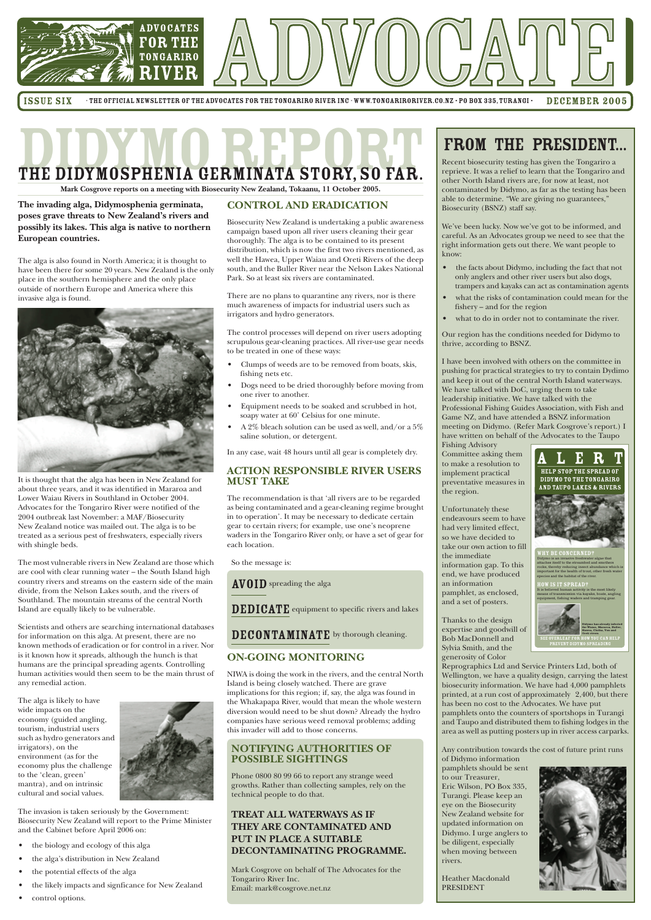

ISSUE SIX THE OFFICIAL NEWSLETTER OF THE ADVOCATES FOR THE TONGARIRO RIVER INC · WWW.TONGARIRORIVER.CO.NZ · PO BOX 335, TURANGI • DECEMBER 2005

# THE DIDYMOSPHENIA GERMINATA STORY, SO FAR. PRESIDENT...

#### **CONTROL AND ERADICATION**

Biosecurity New Zealand is undertaking a public awareness campaign based upon all river users cleaning their gear thoroughly. The alga is to be contained to its present distribution, which is now the first two rivers mentioned, as well the Hawea, Upper Waiau and Oreti Rivers of the deep south, and the Buller River near the Nelson Lakes National Park. So at least six rivers are contaminated.

There are no plans to quarantine any rivers, nor is there much awareness of impacts for industrial users such as irrigators and hydro generators.

The control processes will depend on river users adopting scrupulous gear-cleaning practices. All river-use gear needs to be treated in one of these ways:

- Clumps of weeds are to be removed from boats, skis, fishing nets etc.
- Dogs need to be dried thoroughly before moving from one river to another.
- Equipment needs to be soaked and scrubbed in hot, soapy water at 60˚ Celsius for one minute.
- A 2% bleach solution can be used as well, and/or a 5% saline solution, or detergent.

In any case, wait 48 hours until all gear is completely dry.

#### **ACTION RESPONSIBLE RIVER USERS MUST TAKE**

The recommendation is that 'all rivers are to be regarded as being contaminated and a gear-cleaning regime brought in to operation'. It may be necessary to dedicate certain gear to certain rivers; for example, use one's neoprene waders in the Tongariro River only, or have a set of gear for each location.

So the message is:

AVOID spreading the alga

DEDICATE equipment to specific rivers and lakes

DECONTAMINATE by thorough cleaning.

#### **ON-GOING MONITORING**

NIWA is doing the work in the rivers, and the central North Island is being closely watched. There are grave implications for this region; if, say, the alga was found in the Whakapapa River, would that mean the whole western diversion would need to be shut down? Already the hydro companies have serious weed removal problems; adding this invader will add to those concerns.

#### **NOTIFYING AUTHORITIES OF POSSIBLE SIGHTINGS**

Phone 0800 80 99 66 to report any strange weed growths. Rather than collecting samples, rely on the technical people to do that.

#### **TREAT ALL WATERWAYS AS IF THEY ARE CONTAMINATED AND PUT IN PLACE A SUITABLE DECONTAMINATING PROGRAMME.**

Mark Cosgrove on behalf of The Advocates for the Tongariro River Inc. Email: mark@cosgrove.net.nz

Recent biosecurity testing has given the Tongariro a reprieve. It was a relief to learn that the Tongariro and other North Island rivers are, for now at least, not contaminated by Didymo, as far as the testing has been

able to determine. "We are giving no guarantees," Biosecurity (BSNZ) staff say.

We've been lucky. Now we've got to be informed, and careful. As an Advocates group we need to see that the right information gets out there. We want people to know:

- the facts about Didymo, including the fact that not only anglers and other river users but also dogs, trampers and kayaks can act as contamination agents
- what the risks of contamination could mean for the fishery – and for the region
- what to do in order not to contaminate the river.

Our region has the conditions needed for Didymo to thrive, according to BSNZ.

I have been involved with others on the committee in pushing for practical strategies to try to contain Dydimo and keep it out of the central North Island waterways. We have talked with DoC, urging them to take leadership initiative. We have talked with the Professional Fishing Guides Association, with Fish and Game NZ, and have attended a BSNZ information meeting on Didymo. (Refer Mark Cosgrove's report.) I have written on behalf of the Advocates to the Taupo

Fishing Advisory Committee asking them to make a resolution to implement practical preventative measures in the region.

Unfortunately these endeavours seem to have had very limited effect, so we have decided to take our own action to fill the immediate information gap. To this end, we have produced an information pamphlet, as enclosed, and a set of posters.

Thanks to the design expertise and goodwill of Bob MacDonnell and Sylvia Smith, and the generosity of Color

Reprographics Ltd and Service Printers Ltd, both of Wellington, we have a quality design, carrying the latest biosecurity information. We have had 4,000 pamphlets printed, at a run cost of approximately 2,400, but there has been no cost to the Advocates. We have put pamphlets onto the counters of sportshops in Turangi and Taupo and distributed them to fishing lodges in the area as well as putting posters up in river access carparks.

Any contribution towards the cost of future print runs of Didymo information

pamphlets should be sent to our Treasurer, Eric Wilson, PO Box 335, Turangi. Please keep an eye on the Biosecurity New Zealand website for updated information on Didymo. I urge anglers to be diligent, especially when moving between rivers.

Heather Macdonald PRESIDENT



**The invading alga, Didymosphenia germinata, poses grave threats to New Zealand's rivers and possibly its lakes. This alga is native to northern European countries.**

The alga is also found in North America; it is thought to have been there for some 20 years. New Zealand is the only place in the southern hemisphere and the only place outside of northern Europe and America where this invasive alga is found.



It is thought that the alga has been in New Zealand for about three years, and it was identified in Mararoa and Lower Waiau Rivers in Southland in October 2004. Advocates for the Tongariro River were notified of the 2004 outbreak last November: a MAF/Biosecurity New Zealand notice was mailed out. The alga is to be treated as a serious pest of freshwaters, especially rivers with shingle beds.

The most vulnerable rivers in New Zealand are those which are cool with clear running water – the South Island high country rivers and streams on the eastern side of the main divide, from the Nelson Lakes south, and the rivers of Southland. The mountain streams of the central North Island are equally likely to be vulnerable.

Scientists and others are searching international databases for information on this alga. At present, there are no known methods of eradication or for control in a river. Nor is it known how it spreads, although the hunch is that humans are the principal spreading agents. Controlling human activities would then seem to be the main thrust of any remedial action.

The alga is likely to have wide impacts on the economy (guided angling, tourism, industrial users such as hydro generators and irrigators), on the environment (as for the economy plus the challenge to the 'clean, green' mantra), and on intrinsic cultural and social values.



The invasion is taken seriously by the Government: Biosecurity New Zealand will report to the Prime Minister and the Cabinet before April 2006 on:

- the biology and ecology of this alga
- the alga's distribution in New Zealand
- the potential effects of the alga
- the likely impacts and signficance for New Zealand
- control options.

**Mark Cosgrove reports on a meeting with Biosecurity New Zealand, Tokaanu, 11 October 2005.**